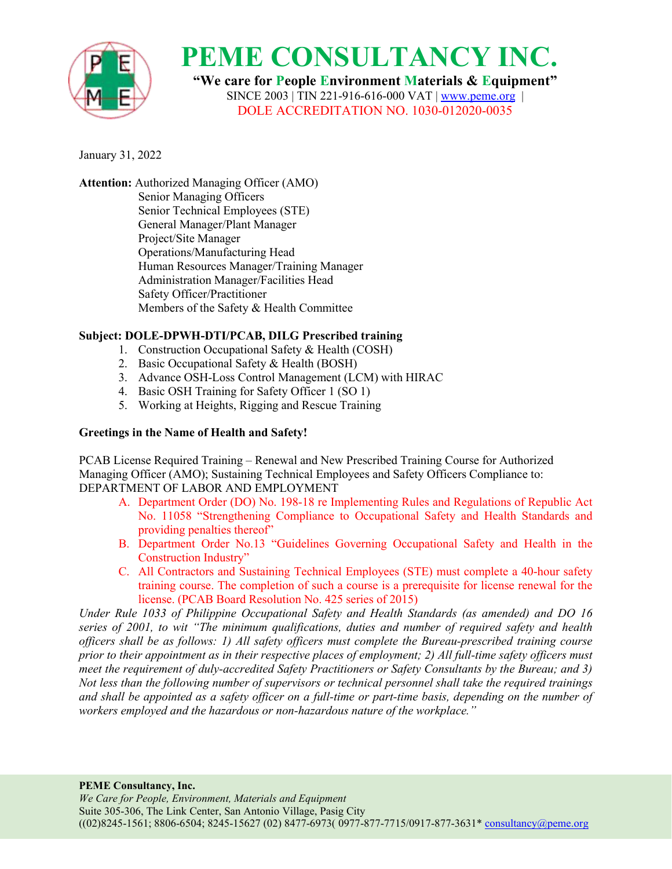

**"We care for People Environment Materials & Equipment"** SINCE 2003 | TIN 221-916-616-000 VAT |[www.peme.org](http://www.peme.org) | DOLE ACCREDITATION NO. 1030-012020-0035

January 31, 2022

**Attention:** Authorized Managing Officer (AMO) Senior Managing Officers Senior Technical Employees (STE) General Manager/Plant Manager Project/Site Manager Operations/Manufacturing Head Human Resources Manager/Training Manager Administration Manager/Facilities Head Safety Officer/Practitioner Members of the Safety & Health Committee

### **Subject: DOLE-DPWH-DTI/PCAB, DILG Prescribed training**

- 1. Construction Occupational Safety & Health (COSH)
- 2. Basic Occupational Safety & Health (BOSH)
- 3. Advance OSH-Loss Control Management (LCM) with HIRAC
- 4. Basic OSH Training for Safety Officer 1 (SO 1)
- 5. Working at Heights, Rigging and Rescue Training

### **Greetings in the Name of Health and Safety!**

PCAB License Required Training – Renewal and New Prescribed Training Course for Authorized Managing Officer (AMO); Sustaining Technical Employees and Safety Officers Compliance to: DEPARTMENT OF LABOR AND EMPLOYMENT

- A. Department Order (DO) No. 198-18 re Implementing Rules and Regulations of Republic Act No. 11058 "Strengthening Compliance to Occupational Safety and Health Standards and providing penalties thereof"
- B. Department Order No.13 "Guidelines Governing Occupational Safety and Health in the Construction Industry"
- C. All Contractors and Sustaining Technical Employees (STE) must complete a 40-hour safety training course. The completion of such a course is a prerequisite for license renewal for the license. (PCAB Board Resolution No. 425 series of 2015)

*Under Rule 1033 of Philippine Occupational Safety and Health Standards (as amended) and DO 16 series of 2001, to wit "The minimum qualifications, duties and number of required safety and health of icers shall be as follows: 1) All safety of icers must complete the Bureau-prescribed training course* prior to their appointment as in their respective places of employment; 2) All full-time safety officers must *meet the requirement of duly-accredited Safety Practitioners or Safety Consultants by the Bureau; and 3) Not less than the following number of supervisors or technical personnel shall take the required trainings* and shall be appointed as a safety officer on a full-time or part-time basis, depending on the number of *workers employed and the hazardous or non-hazardous nature of the workplace."*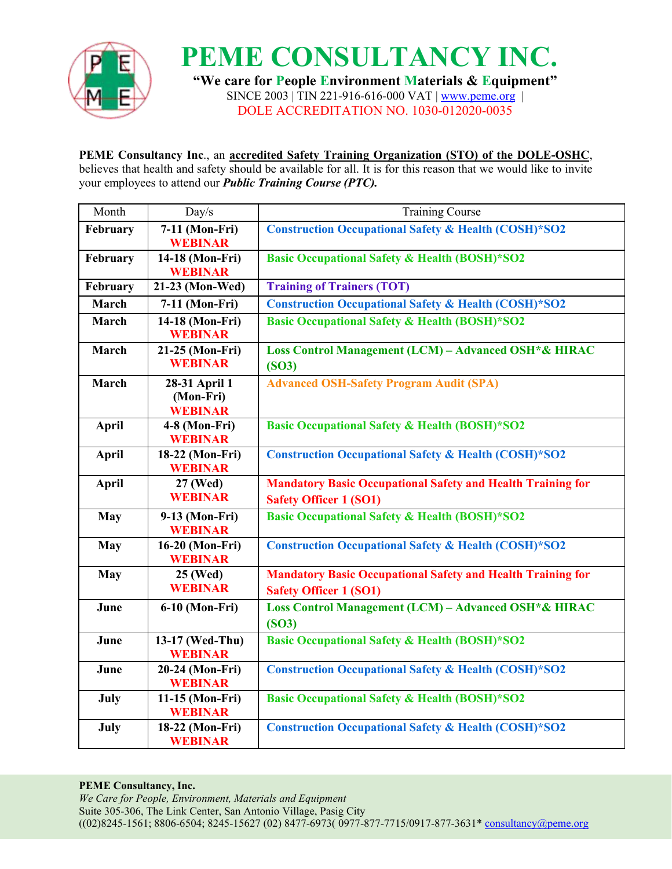

**PEME CONSULTANCY INC. "We care for People Environment Materials & Equipment"** SINCE 2003 | TIN 221-916-616-000 VAT | [www.peme.org](http://www.peme.org) |

DOLE ACCREDITATION NO. 1030-012020-0035

## **PEME Consultancy Inc**., an **accredited Safety Training Organization (STO) ofthe DOLE-OSHC**,

believes that health and safety should be available for all. It is for this reason that we would like to invite your employees to attend our *Public Training Course (PTC).*

| Month        | Day/s                                        | <b>Training Course</b>                                                                              |
|--------------|----------------------------------------------|-----------------------------------------------------------------------------------------------------|
| February     | 7-11 (Mon-Fri)<br><b>WEBINAR</b>             | <b>Construction Occupational Safety &amp; Health (COSH)*SO2</b>                                     |
| February     | 14-18 (Mon-Fri)<br><b>WEBINAR</b>            | <b>Basic Occupational Safety &amp; Health (BOSH)*SO2</b>                                            |
| February     | 21-23 (Mon-Wed)                              | <b>Training of Trainers (TOT)</b>                                                                   |
| March        | 7-11 (Mon-Fri)                               | <b>Construction Occupational Safety &amp; Health (COSH)*SO2</b>                                     |
| March        | 14-18 (Mon-Fri)<br><b>WEBINAR</b>            | <b>Basic Occupational Safety &amp; Health (BOSH)*SO2</b>                                            |
| March        | 21-25 (Mon-Fri)<br><b>WEBINAR</b>            | Loss Control Management (LCM) - Advanced OSH*& HIRAC<br>(SO3)                                       |
| March        | 28-31 April 1<br>(Mon-Fri)<br><b>WEBINAR</b> | <b>Advanced OSH-Safety Program Audit (SPA)</b>                                                      |
| April        | $4-8$ (Mon-Fri)<br><b>WEBINAR</b>            | <b>Basic Occupational Safety &amp; Health (BOSH)*SO2</b>                                            |
| April        | 18-22 (Mon-Fri)<br><b>WEBINAR</b>            | <b>Construction Occupational Safety &amp; Health (COSH)*SO2</b>                                     |
| <b>April</b> | 27 (Wed)<br><b>WEBINAR</b>                   | <b>Mandatory Basic Occupational Safety and Health Training for</b><br><b>Safety Officer 1 (SO1)</b> |
| <b>May</b>   | 9-13 (Mon-Fri)<br><b>WEBINAR</b>             | <b>Basic Occupational Safety &amp; Health (BOSH)*SO2</b>                                            |
| <b>May</b>   | 16-20 (Mon-Fri)<br><b>WEBINAR</b>            | <b>Construction Occupational Safety &amp; Health (COSH)*SO2</b>                                     |
| <b>May</b>   | 25 (Wed)<br><b>WEBINAR</b>                   | <b>Mandatory Basic Occupational Safety and Health Training for</b><br><b>Safety Officer 1 (SO1)</b> |
| June         | 6-10 (Mon-Fri)                               | Loss Control Management (LCM) - Advanced OSH*& HIRAC<br>(SO3)                                       |
| June         | 13-17 (Wed-Thu)<br><b>WEBINAR</b>            | <b>Basic Occupational Safety &amp; Health (BOSH)*SO2</b>                                            |
| June         | 20-24 (Mon-Fri)<br><b>WEBINAR</b>            | <b>Construction Occupational Safety &amp; Health (COSH)*SO2</b>                                     |
| July         | 11-15 (Mon-Fri)<br><b>WEBINAR</b>            | <b>Basic Occupational Safety &amp; Health (BOSH)*SO2</b>                                            |
| July         | 18-22 (Mon-Fri)<br><b>WEBINAR</b>            | <b>Construction Occupational Safety &amp; Health (COSH)*SO2</b>                                     |

### **PEME Consultancy, Inc.**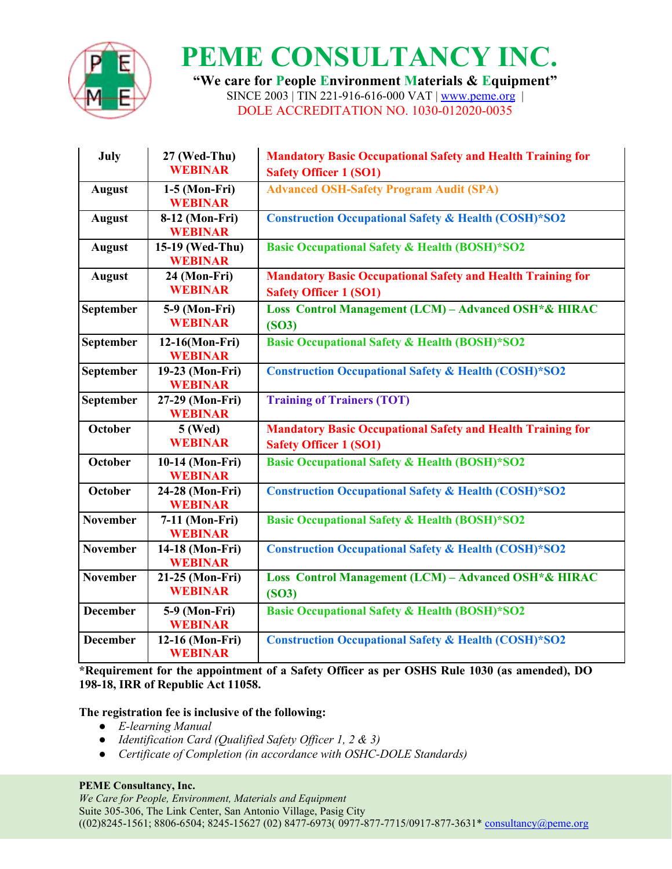

**"We care for People Environment Materials & Equipment"** SINCE 2003 | TIN 221-916-616-000 VAT | [www.peme.org](http://www.peme.org) | DOLE ACCREDITATION NO. 1030-012020-0035

| July             | 27 (Wed-Thu)<br><b>WEBINAR</b>     | <b>Mandatory Basic Occupational Safety and Health Training for</b><br><b>Safety Officer 1 (SO1)</b> |
|------------------|------------------------------------|-----------------------------------------------------------------------------------------------------|
| <b>August</b>    | $1-5$ (Mon-Fri)<br><b>WEBINAR</b>  | <b>Advanced OSH-Safety Program Audit (SPA)</b>                                                      |
| <b>August</b>    | 8-12 (Mon-Fri)<br><b>WEBINAR</b>   | <b>Construction Occupational Safety &amp; Health (COSH)*SO2</b>                                     |
| <b>August</b>    | 15-19 (Wed-Thu)<br><b>WEBINAR</b>  | <b>Basic Occupational Safety &amp; Health (BOSH)*SO2</b>                                            |
| <b>August</b>    | 24 (Mon-Fri)<br><b>WEBINAR</b>     | <b>Mandatory Basic Occupational Safety and Health Training for</b><br><b>Safety Officer 1 (SO1)</b> |
| <b>September</b> | 5-9 (Mon-Fri)<br><b>WEBINAR</b>    | Loss Control Management (LCM) - Advanced OSH*& HIRAC<br>(SO3)                                       |
| September        | $12-16(Mon-Fri)$<br><b>WEBINAR</b> | <b>Basic Occupational Safety &amp; Health (BOSH)*SO2</b>                                            |
| September        | 19-23 (Mon-Fri)<br><b>WEBINAR</b>  | <b>Construction Occupational Safety &amp; Health (COSH)*SO2</b>                                     |
| September        | 27-29 (Mon-Fri)<br><b>WEBINAR</b>  | <b>Training of Trainers (TOT)</b>                                                                   |
| October          | <b>5 (Wed)</b><br><b>WEBINAR</b>   | <b>Mandatory Basic Occupational Safety and Health Training for</b><br><b>Safety Officer 1 (SO1)</b> |
| October          | 10-14 (Mon-Fri)<br><b>WEBINAR</b>  | <b>Basic Occupational Safety &amp; Health (BOSH)*SO2</b>                                            |
| October          | 24-28 (Mon-Fri)<br><b>WEBINAR</b>  | <b>Construction Occupational Safety &amp; Health (COSH)*SO2</b>                                     |
| <b>November</b>  | 7-11 (Mon-Fri)<br><b>WEBINAR</b>   | <b>Basic Occupational Safety &amp; Health (BOSH)*SO2</b>                                            |
| <b>November</b>  | 14-18 (Mon-Fri)<br><b>WEBINAR</b>  | <b>Construction Occupational Safety &amp; Health (COSH)*SO2</b>                                     |
| <b>November</b>  | 21-25 (Mon-Fri)<br><b>WEBINAR</b>  | Loss Control Management (LCM) - Advanced OSH*& HIRAC<br>(SO3)                                       |
| <b>December</b>  | 5-9 (Mon-Fri)<br><b>WEBINAR</b>    | <b>Basic Occupational Safety &amp; Health (BOSH)*SO2</b>                                            |
| <b>December</b>  | 12-16 (Mon-Fri)<br><b>WEBINAR</b>  | <b>Construction Occupational Safety &amp; Health (COSH)*SO2</b>                                     |

**\*Requirement for the appointment of a Safety Officer as per OSHS Rule 1030 (as amended), DO 198-18, IRR of Republic Act 11058.**

### **The registration fee is inclusive of the following:**

- *E-learning Manual*
- *Identification Card (Qualified Safety Of icer 1, 2 & 3)*
- *Certificate of Completion (in accordance with OSHC-DOLE Standards)*

#### **PEME Consultancy, Inc.**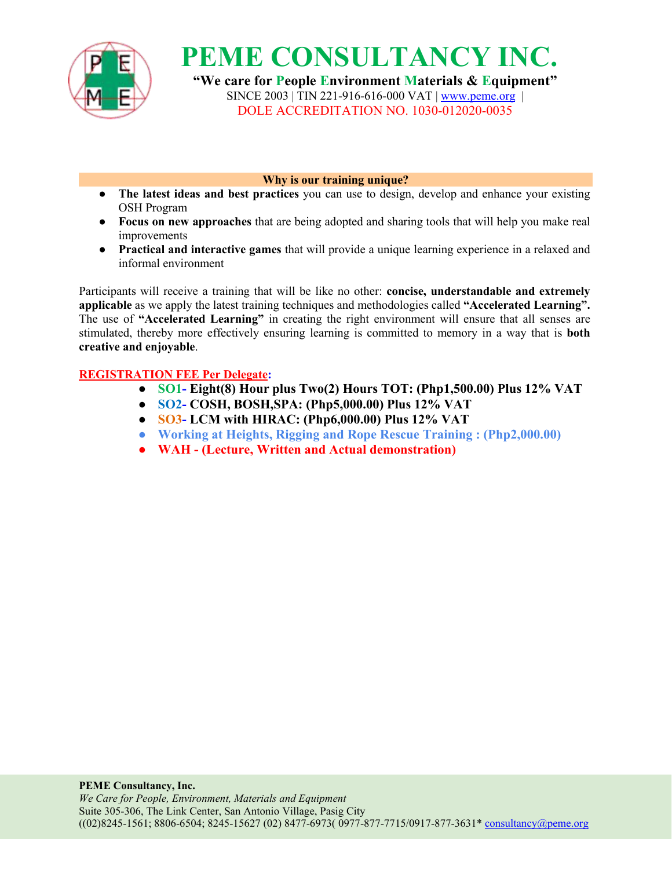

**"We care for People Environment Materials & Equipment"** SINCE 2003 | TIN 221-916-616-000 VAT | [www.peme.org](http://www.peme.org) | DOLE ACCREDITATION NO. 1030-012020-0035

**Why is our training unique?**

- **• The** latest **ideas** and best practices you can use to design, develop and enhance your existing OSH Program
- **Focus on new approaches** that are being adopted and sharing tools that will help you make real improvements
- **Practical and interactive games** that will provide a unique learning experience in a relaxed and informal environment

Participants will receive a training that will be like no other: **concise, understandable and extremely applicable** as we apply the latest training techniques and methodologies called **"Accelerated Learning".** The use of **"Accelerated Learning"** in creating the right environment will ensure that all senses are stimulated, thereby more effectively ensuring learning is committed to memory in a way that is **both creative and enjoyable**.

### **REGISTRATION FEE Per Delegate:**

- **SO1- Eight(8) Hour plus Two(2) Hours TOT: (Php1,500.00) Plus 12% VAT**
- **SO2- COSH, BOSH,SPA: (Php5,000.00) Plus 12% VAT**
- **SO3- LCM with HIRAC: (Php6,000.00) Plus 12% VAT**
- **Working at Heights, Rigging and Rope Rescue Training : (Php2,000.00)**
- **WAH - (Lecture, Written and Actual demonstration)**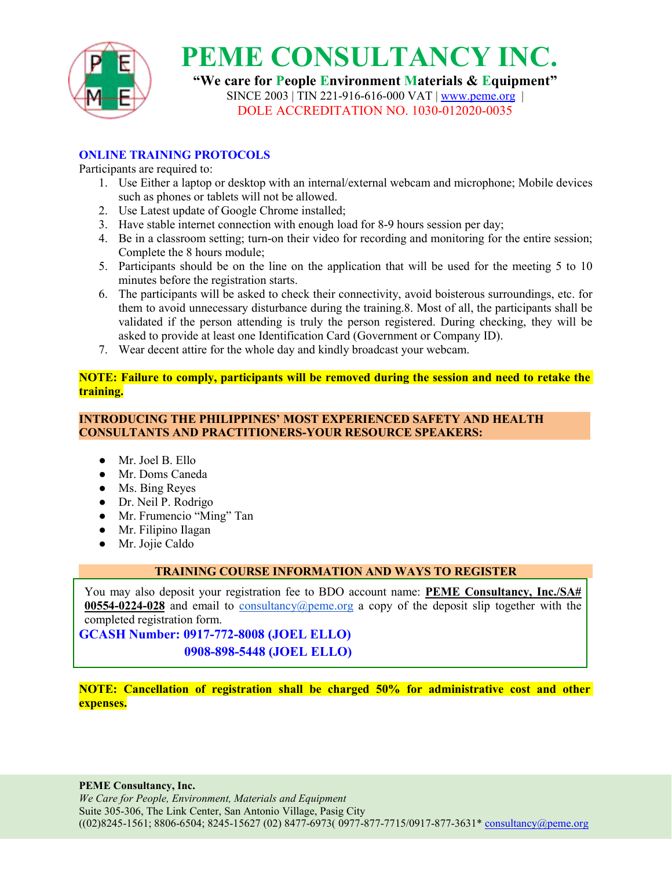

**"We care for People Environment Materials & Equipment"** SINCE 2003 | TIN 221-916-616-000 VAT | [www.peme.org](http://www.peme.org) | DOLE ACCREDITATION NO. 1030-012020-0035

### **ONLINE TRAINING PROTOCOLS**

Participants are required to:

- 1. Use Either a laptop or desktop with an internal/external webcam and microphone; Mobile devices such as phones or tablets will not be allowed.<br>2. Use Latest update of Google Chrome installed;
- 
- 3. Have stable internet connection with enough load for 8-9 hours session per day;
- 4. Be in a classroom setting; turn-on their video for recording and monitoring for the entire session; Complete the 8 hours module;
- 5. Participants should be on the line on the application that will be used for the meeting 5 to 10 minutes before the registration starts.
- 6. The participants will be asked to check their connectivity, avoid boisterous surroundings, etc. for them to avoid unnecessary disturbance during the training.8. Most of all, the participants shall be validated if the person attending is truly the person registered. During checking, they will be asked to provide at least one Identification Card (Government or Company ID).
- 7. Wear decent attire for the whole day and kindly broadcast your webcam.

**NOTE: Failure to comply, participants will be removed during the session and need toretake the training.**

#### **INTRODUCING THE PHILIPPINES' MOST EXPERIENCED SAFETY AND HEALTH CONSULTANTS AND PRACTITIONERS-YOUR RESOURCE SPEAKERS:**

- Mr. Joel B. Ello
- Mr. Doms Caneda
- Ms. Bing Reyes
- Dr. Neil P. Rodrigo
- Mr. Frumencio "Ming" Tan
- Mr. Filipino Ilagan
- Mr. Jojie Caldo

### **TRAINING COURSE INFORMATION AND WAYS TO REGISTER**

You may also deposit your registration fee to BDO account name: **PEME Consultancy, Inc./SA# 00554-0224-028** and email to [consultancy@peme.org](mailto:consultancy@peme.org) a copy of the deposit slip together with the completed registration form.

**GCASH Number: 0917-772-8008 (JOEL ELLO) 0908-898-5448 (JOEL ELLO)**

**NOTE: Cancellation of registration shall be charged 50% for administrative cost and other expenses.**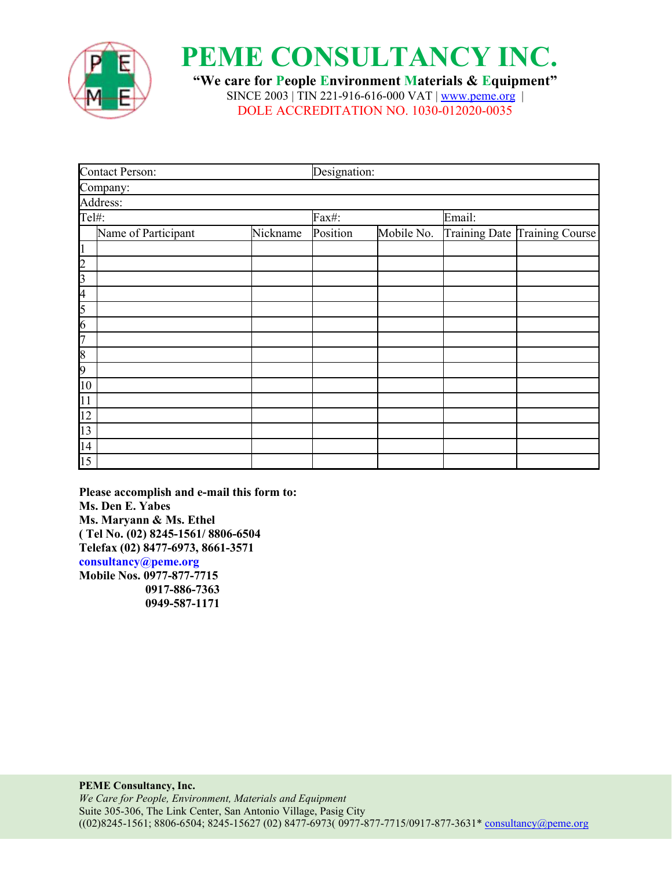

**"We care for People Environment Materials & Equipment"** SINCE 2003 | TIN 221-916-616-000 VAT | [www.peme.org](http://www.peme.org) | DOLE ACCREDITATION NO. 1030-012020-0035

| <b>Contact Person:</b>                                                  | Designation: |          |            |                               |  |
|-------------------------------------------------------------------------|--------------|----------|------------|-------------------------------|--|
| Company:                                                                |              |          |            |                               |  |
|                                                                         |              |          |            |                               |  |
| Address:<br>Tel#:                                                       |              | Fax#:    |            | Email:                        |  |
| Name of Participant                                                     | Nickname     | Position | Mobile No. | Training Date Training Course |  |
| $\overline{1}$                                                          |              |          |            |                               |  |
|                                                                         |              |          |            |                               |  |
|                                                                         |              |          |            |                               |  |
|                                                                         |              |          |            |                               |  |
| $\frac{2}{3}$ $\frac{4}{5}$ $\frac{5}{6}$ $\frac{6}{7}$                 |              |          |            |                               |  |
|                                                                         |              |          |            |                               |  |
|                                                                         |              |          |            |                               |  |
| $\overline{8}$                                                          |              |          |            |                               |  |
|                                                                         |              |          |            |                               |  |
|                                                                         |              |          |            |                               |  |
|                                                                         |              |          |            |                               |  |
|                                                                         |              |          |            |                               |  |
|                                                                         |              |          |            |                               |  |
|                                                                         |              |          |            |                               |  |
| $\frac{9}{10}$<br>$\frac{11}{12}$<br>$\frac{12}{13}$<br>$\frac{14}{15}$ |              |          |            |                               |  |

**Please accomplish and e-mail this form to: Ms. Den E. Yabes Ms. Maryann & Ms. Ethel ( Tel No. (02) 8245-1561/ 8806-6504 Telefax (02) 8477-6973, 8661-3571 consultancy@peme.org Mobile Nos. 0977-877-7715**

**0917-886-7363 0949-587-1171**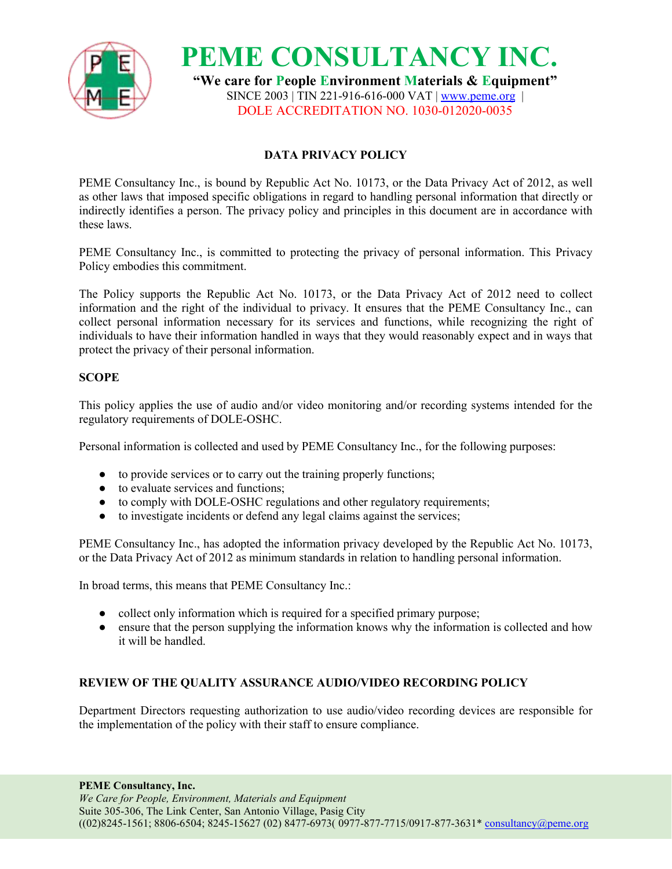

**PEME CONSULTANCY INC. "We care for People Environment Materials & Equipment"** SINCE 2003 | TIN 221-916-616-000 VAT | [www.peme.org](http://www.peme.org) | DOLE ACCREDITATION NO. 1030-012020-0035

### **DATA PRIVACY POLICY**

PEME Consultancy Inc., is bound by Republic Act No. 10173, or the Data Privacy Act of 2012, as well as other laws that imposed specific obligations in regard to handling personal information that directly or indirectly identifies a person. The privacy policy and principles in this document are in accordance with these laws.

PEME Consultancy Inc., is committed to protecting the privacy of personal information. This Privacy Policy embodies this commitment.

The Policy supports the Republic Act No. 10173, or the Data Privacy Act of 2012 need to collect information and the right of the individual to privacy. It ensures that the PEME Consultancy Inc., can collect personal information necessary for its services and functions, while recognizing the right of individuals to have their information handled in ways that they would reasonably expect and in ways that protect the privacy of their personal information.

#### **SCOPE**

This policy applies the use of audio and/or video monitoring and/or recording systems intended for the regulatory requirements of DOLE-OSHC.

Personal information is collected and used by PEME Consultancy Inc., for the following purposes:

- to provide services or to carry out the training properly functions;
- to evaluate services and functions;
- to comply with DOLE-OSHC regulations and other regulatory requirements;
- to investigate incidents or defend any legal claims against the services;

PEME Consultancy Inc., has adopted the information privacy developed by the Republic Act No. 10173, or the Data Privacy Act of 2012 as minimum standards in relation to handling personal information.

In broad terms, this means that PEME Consultancy Inc.:

- collect only information which is required for a specified primary purpose;
- ensure that the person supplying the information knows why the information is collected and how it will be handled.

### **REVIEW OF THE QUALITY ASSURANCE AUDIO/VIDEO RECORDING POLICY**

Department Directors requesting authorization to use audio/video recording devices are responsible for the implementation of the policy with their staff to ensure compliance.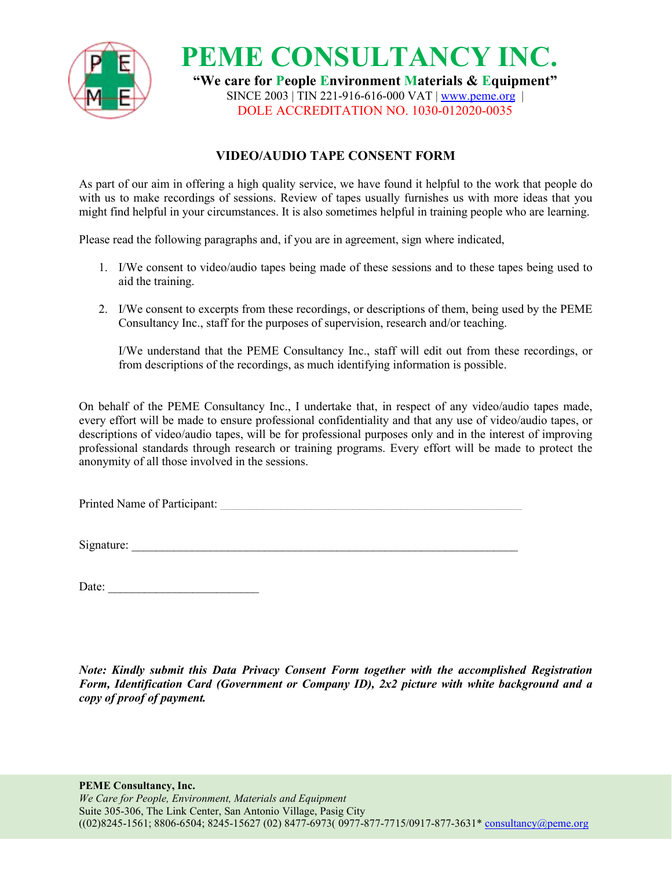

**PEME CONSULTANCY INC. "We care for People Environment Materials & Equipment"** SINCE 2003 | TIN 221-916-616-000 VAT | [www.peme.org](http://www.peme.org) | DOLE ACCREDITATION NO. 1030-012020-0035

## **VIDEO/AUDIO TAPE CONSENT FORM**

As part of our aim in offering a high quality service, we have found it helpful to the work that people do with us to make recordings of sessions. Review of tapes usually furnishes us with more ideas that you might find helpful in your circumstances. It is also sometimes helpful in training people who are learning.

Please read the following paragraphs and, if you are in agreement, sign where indicated,

- 1. I/We consent to video/audio tapes being made of these sessions and to these tapes being used to aid the training.
- 2. I/We consent to excerpts from these recordings, or descriptions ofthem, being used by the PEME Consultancy Inc., staff for the purposes of supervision, research and/or teaching.

I/We understand that the PEME Consultancy Inc., staff will edit out from these recordings, or from descriptions of the recordings, as much identifying information is possible.

On behalf of the PEME Consultancy Inc., I undertake that, in respect of any video/audio tapes made, every effort will be made to ensure professional confidentiality and that any use of video/audio tapes, or descriptions of video/audio tapes, will be for professional purposes only and in the interest of improving professional standards through research or training programs. Every effort will be made to protect the anonymity of all those involved in the sessions.

Printed Name of Participant:

Signature:

| Date: |  |
|-------|--|
|-------|--|

*Note: Kindly submit this Data Privacy Consent Form together with the accomplished Registration Form, Identification Card (Government or Company ID), 2x2 picture with white background and a copy of proof of payment.*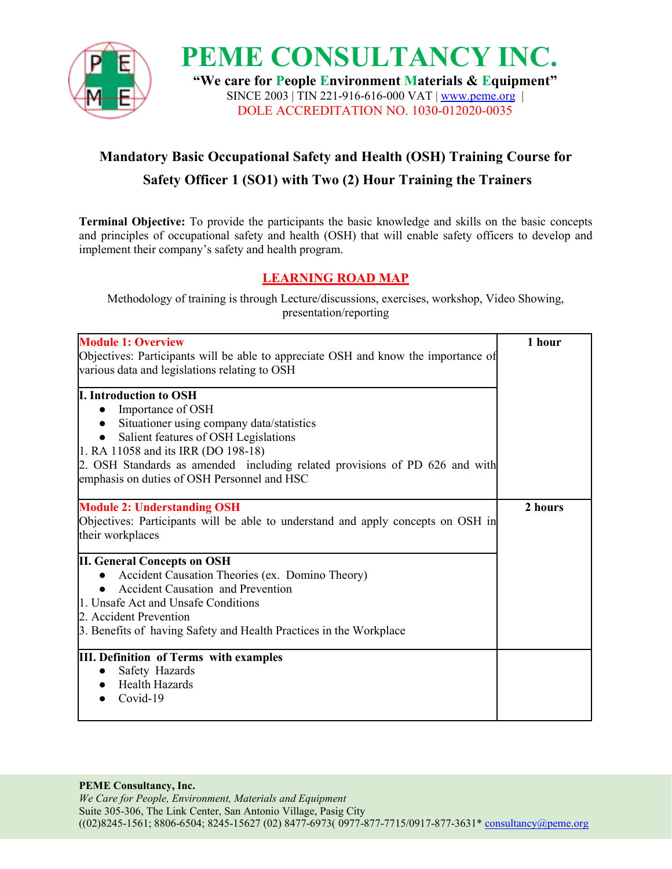

**PEME CONSULTANCY INC. "We care for People Environment Materials & Equipment"** SINCE 2003 | TIN 221-916-616-000 VAT |[www.peme.org](http://www.peme.org) | DOLE ACCREDITATION NO. 1030-012020-0035

## **Mandatory Basic Occupational Safety and Health (OSH) Training Course for Safety Officer 1 (SO1) with Two (2) Hour Training the Trainers**

**Terminal Objective:** To provide the participants the basic knowledge and skills on the basic concepts and principles of occupational safety and health (OSH) that will enable safety officers to develop and implement their company's safety and health program.

## **LEARNING ROAD MAP**

Methodology of training is through Lecture/discussions, exercises, workshop, Video Showing, presentation/reporting

| <b>Module 1: Overview</b><br>Objectives: Participants will be able to appreciate OSH and know the importance of<br>various data and legislations relating to OSH                                                                                                                                             | 1 hour  |  |
|--------------------------------------------------------------------------------------------------------------------------------------------------------------------------------------------------------------------------------------------------------------------------------------------------------------|---------|--|
| <b>I. Introduction to OSH</b><br>Importance of OSH<br>Situationer using company data/statistics<br>Salient features of OSH Legislations<br>1. RA 11058 and its IRR (DO 198-18)<br>2. OSH Standards as amended including related provisions of PD 626 and with<br>emphasis on duties of OSH Personnel and HSC |         |  |
| <b>Module 2: Understanding OSH</b><br>Objectives: Participants will be able to understand and apply concepts on OSH in<br>their workplaces                                                                                                                                                                   | 2 hours |  |
| <b>II. General Concepts on OSH</b><br>Accident Causation Theories (ex. Domino Theory)<br>• Accident Causation and Prevention<br>1. Unsafe Act and Unsafe Conditions<br>2. Accident Prevention<br>3. Benefits of having Safety and Health Practices in the Workplace                                          |         |  |
| <b>III. Definition of Terms with examples</b><br>Safety Hazards<br><b>Health Hazards</b><br>Covid-19                                                                                                                                                                                                         |         |  |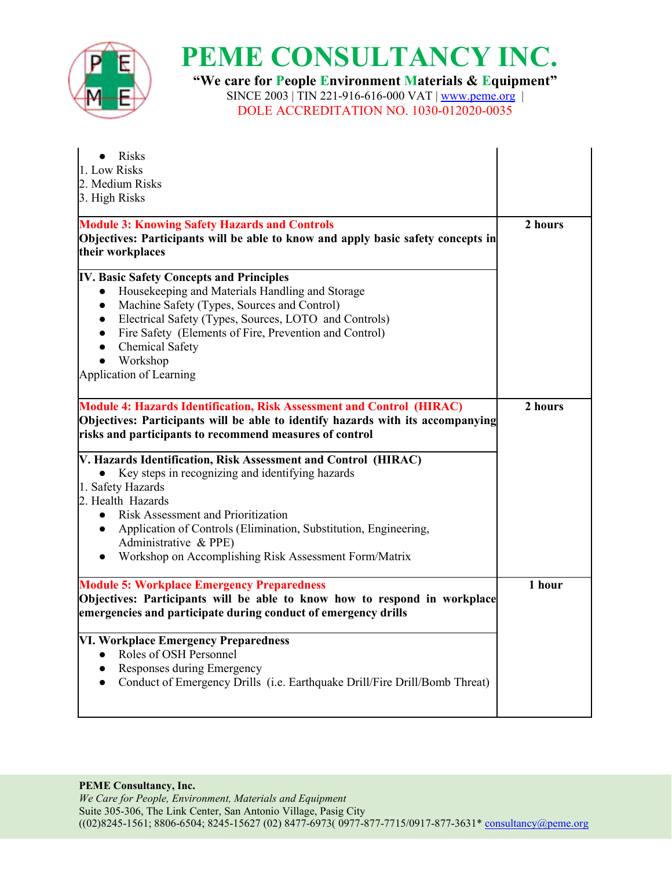

**"We care for People Environment Materials & Equipment"** SINCE 2003 | TIN 221-916-616-000 VAT | <u>[www.peme.org](http://www.peme.org)</u> | DOLE ACCREDITATION NO. 1030-012020-0035

| • Risks                                                                                                                                     |         |
|---------------------------------------------------------------------------------------------------------------------------------------------|---------|
| 1. Low Risks                                                                                                                                |         |
| 2. Medium Risks                                                                                                                             |         |
| 3. High Risks                                                                                                                               |         |
| <b>Module 3: Knowing Safety Hazards and Controls</b>                                                                                        | 2 hours |
| Objectives: Participants will be able to know and apply basic safety concepts in<br>their workplaces                                        |         |
| <b>IV. Basic Safety Concepts and Principles</b>                                                                                             |         |
| Housekeeping and Materials Handling and Storage<br>$\bullet$                                                                                |         |
| Machine Safety (Types, Sources and Control)                                                                                                 |         |
| Electrical Safety (Types, Sources, LOTO and Controls)                                                                                       |         |
| Fire Safety (Elements of Fire, Prevention and Control)<br>$\bullet$                                                                         |         |
| Chemical Safety<br>$\bullet$                                                                                                                |         |
| Workshop<br>$\bullet$                                                                                                                       |         |
| Application of Learning                                                                                                                     |         |
| Module 4: Hazards Identification, Risk Assessment and Control (HIRAC)                                                                       | 2 hours |
| Objectives: Participants will be able to identify hazards with its accompanying                                                             |         |
| risks and participants to recommend measures of control                                                                                     |         |
|                                                                                                                                             |         |
| V. Hazards Identification, Risk Assessment and Control (HIRAC)                                                                              |         |
| • Key steps in recognizing and identifying hazards                                                                                          |         |
| 1. Safety Hazards                                                                                                                           |         |
| 2. Health Hazards                                                                                                                           |         |
| Risk Assessment and Prioritization                                                                                                          |         |
| Application of Controls (Elimination, Substitution, Engineering,<br>$\bullet$<br>Administrative & PPE)                                      |         |
| Workshop on Accomplishing Risk Assessment Form/Matrix                                                                                       |         |
|                                                                                                                                             |         |
| <b>Module 5: Workplace Emergency Preparedness</b>                                                                                           | 1 hour  |
| Objectives: Participants will be able to know how to respond in workplace<br>emergencies and participate during conduct of emergency drills |         |
| VI. Workplace Emergency Preparedness                                                                                                        |         |
| Roles of OSH Personnel<br>$\bullet$                                                                                                         |         |
| Responses during Emergency<br>$\bullet$                                                                                                     |         |
|                                                                                                                                             |         |
| Conduct of Emergency Drills (i.e. Earthquake Drill/Fire Drill/Bomb Threat)<br>$\bullet$                                                     |         |
|                                                                                                                                             |         |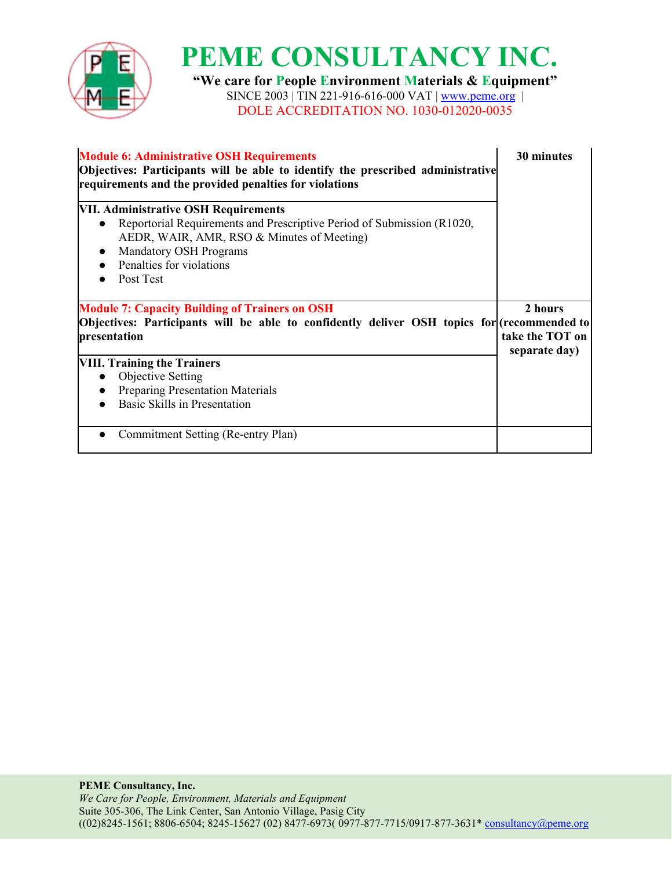

**"We care for People Environment Materials & Equipment"** SINCE 2003 | TIN 221-916-616-000 VAT | <u>[www.peme.org](http://www.peme.org)</u> | DOLE ACCREDITATION NO. 1030-012020-0035

| <b>Module 6: Administrative OSH Requirements</b><br>Objectives: Participants will be able to identify the prescribed administrative<br>requirements and the provided penalties for violations                                          | 30 minutes                                  |  |
|----------------------------------------------------------------------------------------------------------------------------------------------------------------------------------------------------------------------------------------|---------------------------------------------|--|
| VII. Administrative OSH Requirements<br>Reportorial Requirements and Prescriptive Period of Submission (R1020,<br>AEDR, WAIR, AMR, RSO & Minutes of Meeting)<br><b>Mandatory OSH Programs</b><br>Penalties for violations<br>Post Test |                                             |  |
| <b>Module 7: Capacity Building of Trainers on OSH</b><br>Objectives: Participants will be able to confidently deliver OSH topics for (recommended to<br>presentation                                                                   | 2 hours<br>take the TOT on<br>separate day) |  |
|                                                                                                                                                                                                                                        |                                             |  |
| <b>VIII. Training the Trainers</b><br>Objective Setting<br><b>Preparing Presentation Materials</b><br>Basic Skills in Presentation                                                                                                     |                                             |  |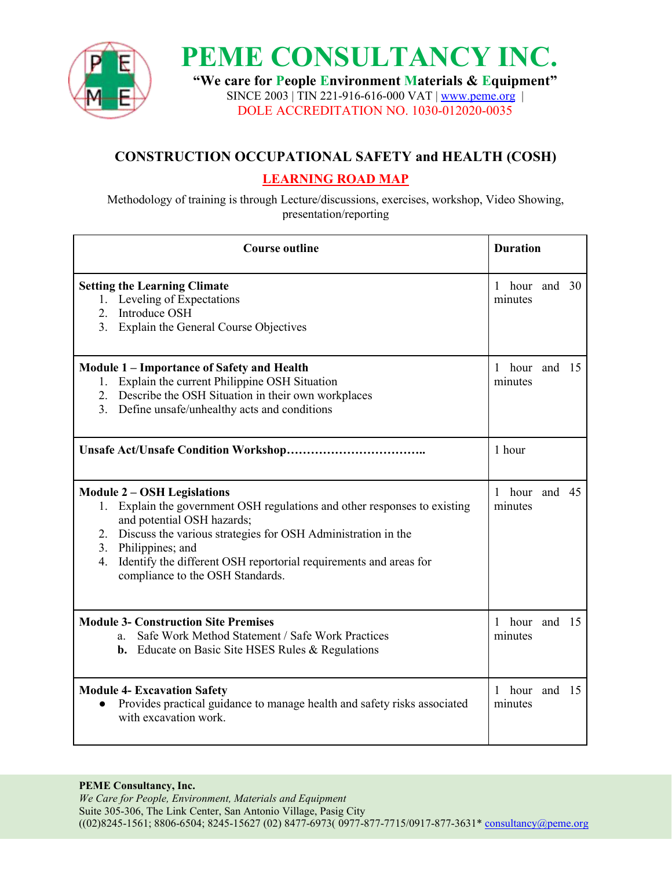

**"We care for People Environment Materials & Equipment"** SINCE 2003 | TIN 221-916-616-000 VAT | [www.peme.org](http://www.peme.org) | DOLE ACCREDITATION NO. 1030-012020-0035

## **CONSTRUCTION OCCUPATIONAL SAFETY and HEALTH (COSH)**

## **LEARNING ROAD MAP**

Methodology of training is through Lecture/discussions, exercises, workshop, Video Showing, presentation/reporting

| <b>Course outline</b>                                                                                                                                                                                                                                                                                                                               | <b>Duration</b>             |
|-----------------------------------------------------------------------------------------------------------------------------------------------------------------------------------------------------------------------------------------------------------------------------------------------------------------------------------------------------|-----------------------------|
| <b>Setting the Learning Climate</b><br>1. Leveling of Expectations<br>Introduce OSH<br>2.<br>Explain the General Course Objectives<br>3.                                                                                                                                                                                                            | 1 hour and 30<br>minutes    |
| <b>Module 1 – Importance of Safety and Health</b><br>1. Explain the current Philippine OSH Situation<br>2. Describe the OSH Situation in their own workplaces<br>3. Define unsafe/unhealthy acts and conditions                                                                                                                                     | 1 hour and 15<br>minutes    |
|                                                                                                                                                                                                                                                                                                                                                     | 1 hour                      |
| <b>Module 2 - OSH Legislations</b><br>Explain the government OSH regulations and other responses to existing<br>and potential OSH hazards;<br>2. Discuss the various strategies for OSH Administration in the<br>3. Philippines; and<br>Identify the different OSH reportorial requirements and areas for<br>4.<br>compliance to the OSH Standards. | 1<br>hour and 45<br>minutes |
| <b>Module 3- Construction Site Premises</b><br>Safe Work Method Statement / Safe Work Practices<br>a.<br><b>b.</b> Educate on Basic Site HSES Rules & Regulations                                                                                                                                                                                   | 1 hour and 15<br>minutes    |
| <b>Module 4- Excavation Safety</b><br>Provides practical guidance to manage health and safety risks associated<br>$\bullet$<br>with excavation work.                                                                                                                                                                                                | 1 hour and 15<br>minutes    |

#### **PEME Consultancy, Inc.**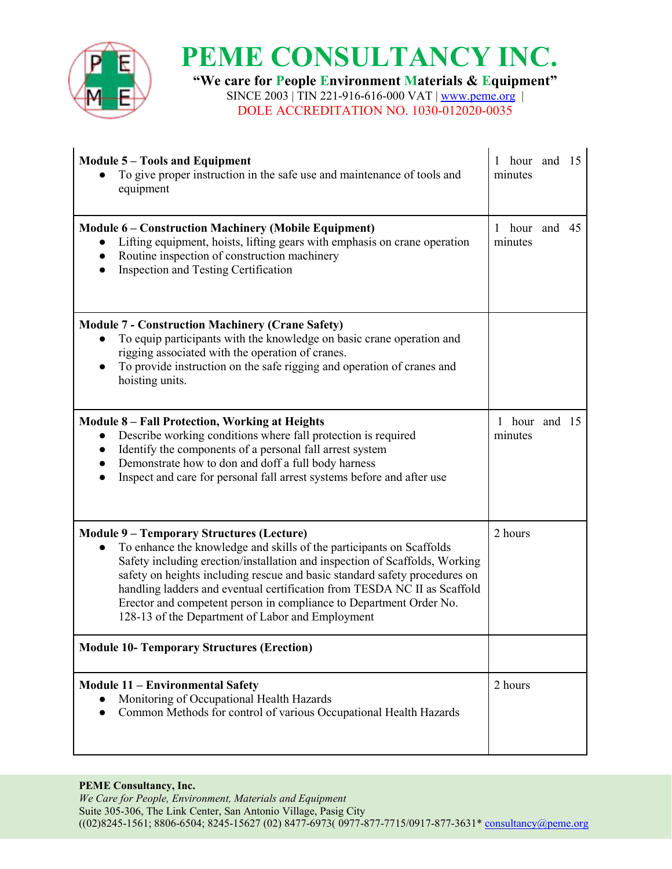

**"We care for People Environment Materials & Equipment"** SINCE 2003 | TIN 221-916-616-000 VAT | <u>[www.peme.org](http://www.peme.org)</u> | DOLE ACCREDITATION NO. 1030-012020-0035

| <b>Module 5 - Tools and Equipment</b><br>To give proper instruction in the safe use and maintenance of tools and<br>equipment                                                                                                                                                                                                                                                                                                                                                                            | hour and 15<br>$\mathbf{1}$<br>minutes |  |
|----------------------------------------------------------------------------------------------------------------------------------------------------------------------------------------------------------------------------------------------------------------------------------------------------------------------------------------------------------------------------------------------------------------------------------------------------------------------------------------------------------|----------------------------------------|--|
| <b>Module 6 – Construction Machinery (Mobile Equipment)</b><br>Lifting equipment, hoists, lifting gears with emphasis on crane operation<br>$\bullet$<br>Routine inspection of construction machinery<br>$\bullet$<br>Inspection and Testing Certification<br>$\bullet$                                                                                                                                                                                                                                  | 1 hour and<br>45<br>minutes            |  |
| <b>Module 7 - Construction Machinery (Crane Safety)</b><br>To equip participants with the knowledge on basic crane operation and<br>$\bullet$<br>rigging associated with the operation of cranes.<br>To provide instruction on the safe rigging and operation of cranes and<br>hoisting units.                                                                                                                                                                                                           |                                        |  |
| <b>Module 8 - Fall Protection, Working at Heights</b><br>Describe working conditions where fall protection is required<br>$\bullet$<br>Identify the components of a personal fall arrest system<br>Demonstrate how to don and doff a full body harness<br>$\bullet$<br>Inspect and care for personal fall arrest systems before and after use                                                                                                                                                            | 1 hour and 15<br>minutes               |  |
| <b>Module 9 – Temporary Structures (Lecture)</b><br>To enhance the knowledge and skills of the participants on Scaffolds<br>$\bullet$<br>Safety including erection/installation and inspection of Scaffolds, Working<br>safety on heights including rescue and basic standard safety procedures on<br>handling ladders and eventual certification from TESDA NC II as Scaffold<br>Erector and competent person in compliance to Department Order No.<br>128-13 of the Department of Labor and Employment | 2 hours                                |  |
| <b>Module 10- Temporary Structures (Erection)</b>                                                                                                                                                                                                                                                                                                                                                                                                                                                        |                                        |  |
| <b>Module 11 - Environmental Safety</b><br>Monitoring of Occupational Health Hazards<br>Common Methods for control of various Occupational Health Hazards                                                                                                                                                                                                                                                                                                                                                | 2 hours                                |  |

#### **PEME Consultancy, Inc.**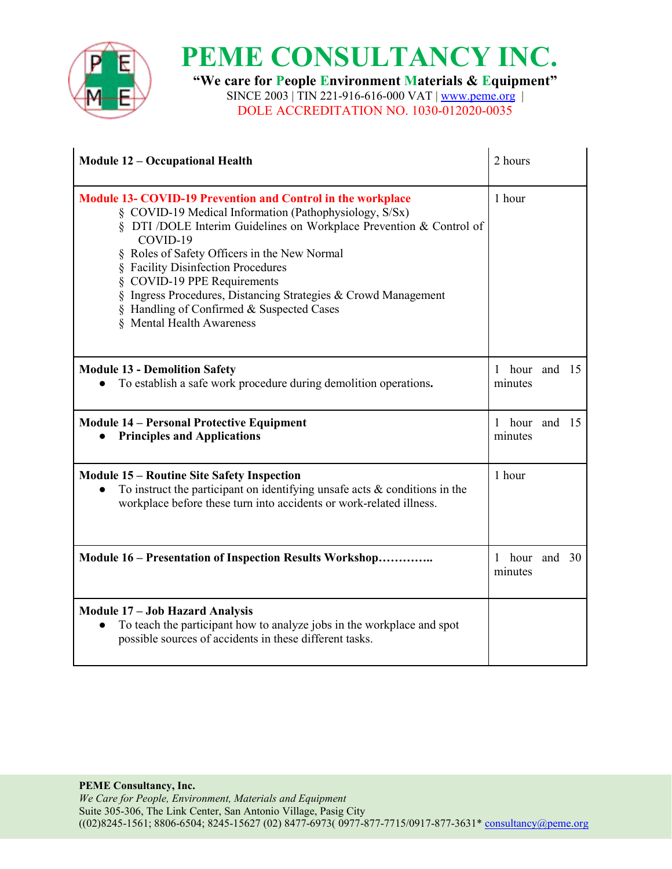

**"We care for People Environment Materials & Equipment"** SINCE 2003 | TIN 221-916-616-000 VAT | <u>[www.peme.org](http://www.peme.org)</u> | DOLE ACCREDITATION NO. 1030-012020-0035

| <b>Module 12 - Occupational Health</b>                                                                                                                                                                                                                                                                                                                                                                                                                                                     | 2 hours                  |
|--------------------------------------------------------------------------------------------------------------------------------------------------------------------------------------------------------------------------------------------------------------------------------------------------------------------------------------------------------------------------------------------------------------------------------------------------------------------------------------------|--------------------------|
| <b>Module 13- COVID-19 Prevention and Control in the workplace</b><br>§ COVID-19 Medical Information (Pathophysiology, S/Sx)<br>§ DTI /DOLE Interim Guidelines on Workplace Prevention & Control of<br>COVID-19<br>§ Roles of Safety Officers in the New Normal<br><b>Facility Disinfection Procedures</b><br>COVID-19 PPE Requirements<br>Ingress Procedures, Distancing Strategies & Crowd Management<br>Handling of Confirmed & Suspected Cases<br><b>Mental Health Awareness</b><br>§. | 1 hour                   |
| <b>Module 13 - Demolition Safety</b><br>To establish a safe work procedure during demolition operations.<br>$\bullet$                                                                                                                                                                                                                                                                                                                                                                      | 1 hour and 15<br>minutes |
| <b>Module 14 – Personal Protective Equipment</b><br><b>Principles and Applications</b>                                                                                                                                                                                                                                                                                                                                                                                                     | 1 hour and 15<br>minutes |
| <b>Module 15 – Routine Site Safety Inspection</b><br>To instruct the participant on identifying unsafe acts $\&$ conditions in the<br>$\bullet$<br>workplace before these turn into accidents or work-related illness.                                                                                                                                                                                                                                                                     | 1 hour                   |
| Module 16 – Presentation of Inspection Results Workshop                                                                                                                                                                                                                                                                                                                                                                                                                                    | 1 hour and 30<br>minutes |
| <b>Module 17 - Job Hazard Analysis</b><br>To teach the participant how to analyze jobs in the workplace and spot<br>$\bullet$<br>possible sources of accidents in these different tasks.                                                                                                                                                                                                                                                                                                   |                          |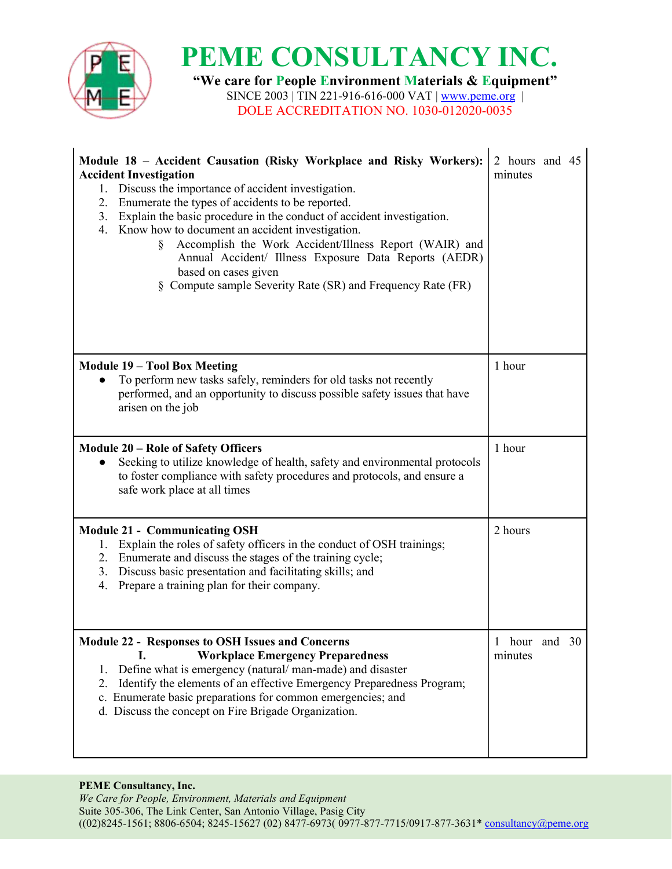

**"We care for People Environment Materials & Equipment"** SINCE 2003 | TIN 221-916-616-000 VAT | <u>[www.peme.org](http://www.peme.org)</u> | DOLE ACCREDITATION NO. 1030-012020-0035

| Module 18 - Accident Causation (Risky Workplace and Risky Workers):<br><b>Accident Investigation</b><br>1. Discuss the importance of accident investigation.<br>2. Enumerate the types of accidents to be reported.<br>3. Explain the basic procedure in the conduct of accident investigation.<br>4. Know how to document an accident investigation.<br>Accomplish the Work Accident/Illness Report (WAIR) and<br>Ş<br>Annual Accident/ Illness Exposure Data Reports (AEDR)<br>based on cases given<br>Compute sample Severity Rate (SR) and Frequency Rate (FR) | 2 hours and 45<br>minutes   |
|--------------------------------------------------------------------------------------------------------------------------------------------------------------------------------------------------------------------------------------------------------------------------------------------------------------------------------------------------------------------------------------------------------------------------------------------------------------------------------------------------------------------------------------------------------------------|-----------------------------|
| <b>Module 19 - Tool Box Meeting</b><br>To perform new tasks safely, reminders for old tasks not recently<br>performed, and an opportunity to discuss possible safety issues that have<br>arisen on the job                                                                                                                                                                                                                                                                                                                                                         | 1 hour                      |
| <b>Module 20 - Role of Safety Officers</b><br>Seeking to utilize knowledge of health, safety and environmental protocols<br>to foster compliance with safety procedures and protocols, and ensure a<br>safe work place at all times                                                                                                                                                                                                                                                                                                                                | 1 hour                      |
| <b>Module 21 - Communicating OSH</b><br>1. Explain the roles of safety officers in the conduct of OSH trainings;<br>2. Enumerate and discuss the stages of the training cycle;<br>3. Discuss basic presentation and facilitating skills; and<br>Prepare a training plan for their company.<br>4.                                                                                                                                                                                                                                                                   | 2 hours                     |
| <b>Module 22 - Responses to OSH Issues and Concerns</b><br><b>Workplace Emergency Preparedness</b><br>I.<br>Define what is emergency (natural/man-made) and disaster<br>1.<br>Identify the elements of an effective Emergency Preparedness Program;<br>2.<br>c. Enumerate basic preparations for common emergencies; and<br>d. Discuss the concept on Fire Brigade Organization.                                                                                                                                                                                   | hour and 30<br>1<br>minutes |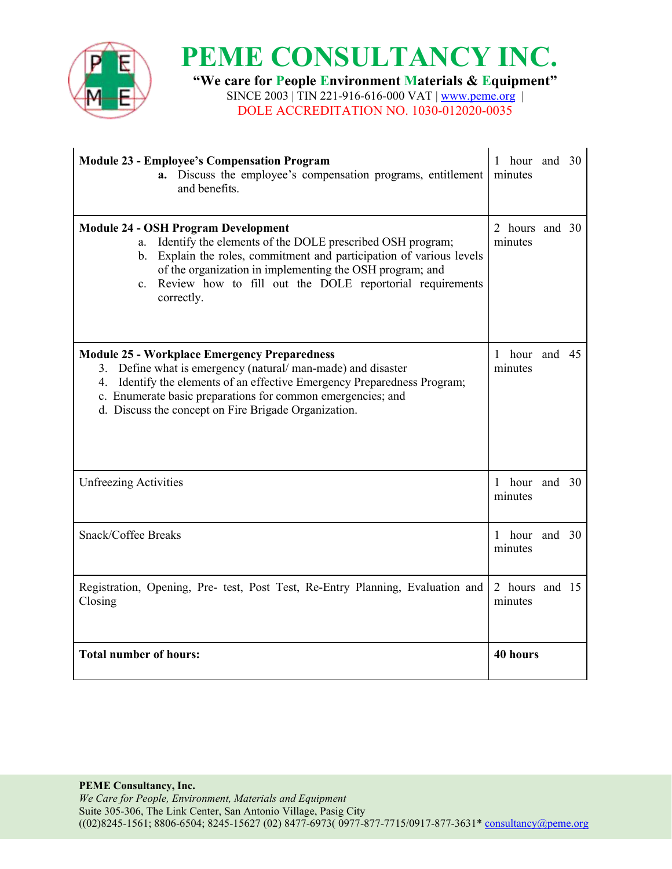

**"We care for People Environment Materials & Equipment"** SINCE 2003 | TIN 221-916-616-000 VAT | <u>[www.peme.org](http://www.peme.org)</u> | DOLE ACCREDITATION NO. 1030-012020-0035

| <b>Module 23 - Employee's Compensation Program</b><br>a. Discuss the employee's compensation programs, entitlement<br>and benefits.                                                                                                                                                                                            | 1 hour and 30<br>minutes  |  |
|--------------------------------------------------------------------------------------------------------------------------------------------------------------------------------------------------------------------------------------------------------------------------------------------------------------------------------|---------------------------|--|
| <b>Module 24 - OSH Program Development</b><br>Identify the elements of the DOLE prescribed OSH program;<br>a.<br>b. Explain the roles, commitment and participation of various levels<br>of the organization in implementing the OSH program; and<br>c. Review how to fill out the DOLE reportorial requirements<br>correctly. | 2 hours and 30<br>minutes |  |
| <b>Module 25 - Workplace Emergency Preparedness</b><br>3. Define what is emergency (natural/man-made) and disaster<br>Identify the elements of an effective Emergency Preparedness Program;<br>4.<br>c. Enumerate basic preparations for common emergencies; and<br>d. Discuss the concept on Fire Brigade Organization.       | 1 hour and 45<br>minutes  |  |
| <b>Unfreezing Activities</b>                                                                                                                                                                                                                                                                                                   | 1 hour and 30<br>minutes  |  |
| Snack/Coffee Breaks                                                                                                                                                                                                                                                                                                            | 1 hour and 30<br>minutes  |  |
| Registration, Opening, Pre- test, Post Test, Re-Entry Planning, Evaluation and<br>Closing                                                                                                                                                                                                                                      | 2 hours and 15<br>minutes |  |
| <b>Total number of hours:</b>                                                                                                                                                                                                                                                                                                  | 40 hours                  |  |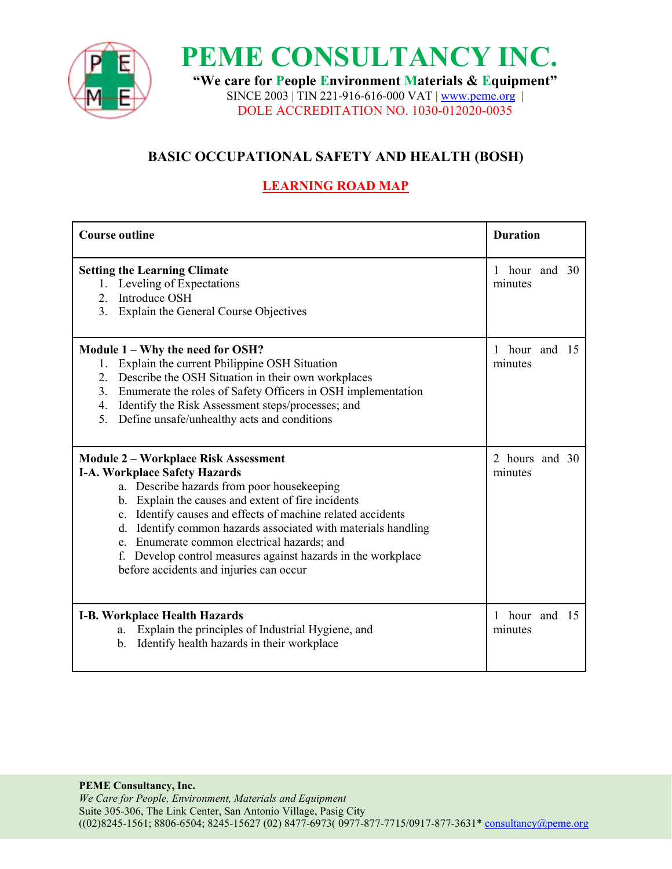

**"We care for People Environment Materials & Equipment"** SINCE 2003 | TIN 221-916-616-000 VAT | [www.peme.org](http://www.peme.org) | DOLE ACCREDITATION NO. 1030-012020-0035

## **BASIC OCCUPATIONAL SAFETY AND HEALTH (BOSH)**

## **LEARNING ROAD MAP**

| <b>Course outline</b>                                                                                                                                                                                                                                                                                                                                                                                                                                                           | <b>Duration</b>                        |
|---------------------------------------------------------------------------------------------------------------------------------------------------------------------------------------------------------------------------------------------------------------------------------------------------------------------------------------------------------------------------------------------------------------------------------------------------------------------------------|----------------------------------------|
| <b>Setting the Learning Climate</b><br>1. Leveling of Expectations<br>Introduce OSH<br>2.<br>3.<br>Explain the General Course Objectives                                                                                                                                                                                                                                                                                                                                        | hour and 30<br>$\mathbf{1}$<br>minutes |
| Module 1 – Why the need for OSH?<br>Explain the current Philippine OSH Situation<br>Describe the OSH Situation in their own workplaces<br>2.<br>Enumerate the roles of Safety Officers in OSH implementation<br>3.<br>Identify the Risk Assessment steps/processes; and<br>4.<br>Define unsafe/unhealthy acts and conditions<br>5 <sub>1</sub>                                                                                                                                  | 1 hour and 15<br>minutes               |
| <b>Module 2-Workplace Risk Assessment</b><br><b>I-A. Workplace Safety Hazards</b><br>a. Describe hazards from poor housekeeping<br>b. Explain the causes and extent of fire incidents<br>c. Identify causes and effects of machine related accidents<br>Identify common hazards associated with materials handling<br>d.<br>e. Enumerate common electrical hazards; and<br>Develop control measures against hazards in the workplace<br>before accidents and injuries can occur | 2 hours and 30<br>minutes              |
| <b>I-B. Workplace Health Hazards</b><br>Explain the principles of Industrial Hygiene, and<br>a.<br>Identify health hazards in their workplace<br>$\mathbf{b}$ .                                                                                                                                                                                                                                                                                                                 | hour and 15<br>minutes                 |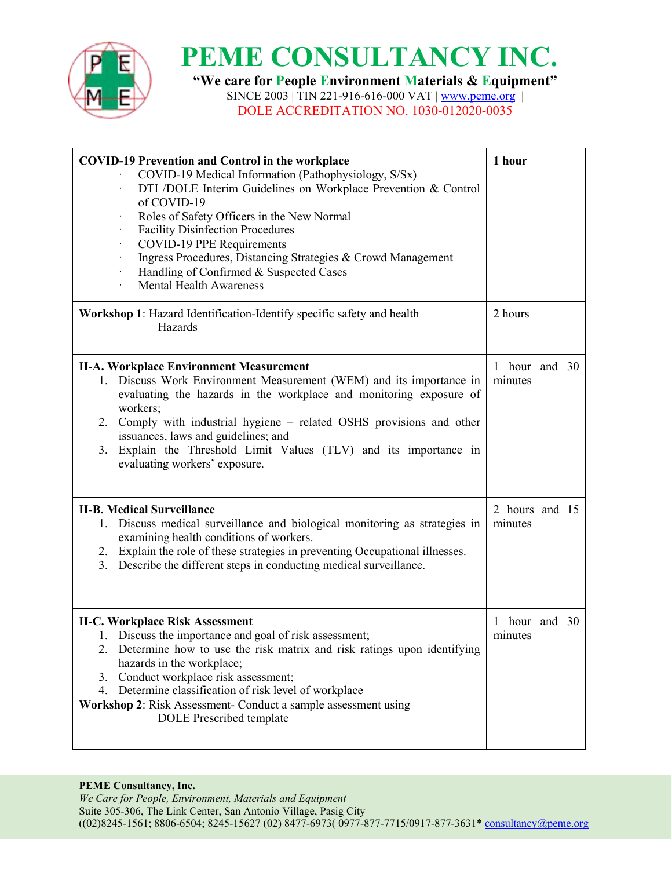

 $\mathbf{I}$ 

# **PEME CONSULTANCY INC.**

**"We care for People Environment Materials & Equipment"**

SINCE 2003 | TIN 221-916-616-000 VAT | <u>[www.peme.org](http://www.peme.org)</u> | DOLE ACCREDITATION NO. 1030-012020-0035

| <b>COVID-19 Prevention and Control in the workplace</b><br>COVID-19 Medical Information (Pathophysiology, S/Sx)<br>DTI /DOLE Interim Guidelines on Workplace Prevention & Control<br>of COVID-19<br>Roles of Safety Officers in the New Normal<br><b>Facility Disinfection Procedures</b><br>COVID-19 PPE Requirements<br>Ingress Procedures, Distancing Strategies & Crowd Management<br>Handling of Confirmed & Suspected Cases<br><b>Mental Health Awareness</b> | 1 hour                    |  |
|---------------------------------------------------------------------------------------------------------------------------------------------------------------------------------------------------------------------------------------------------------------------------------------------------------------------------------------------------------------------------------------------------------------------------------------------------------------------|---------------------------|--|
| Workshop 1: Hazard Identification-Identify specific safety and health<br>Hazards                                                                                                                                                                                                                                                                                                                                                                                    | 2 hours                   |  |
| <b>II-A. Workplace Environment Measurement</b><br>1. Discuss Work Environment Measurement (WEM) and its importance in<br>evaluating the hazards in the workplace and monitoring exposure of<br>workers;<br>2. Comply with industrial hygiene – related OSHS provisions and other<br>issuances, laws and guidelines; and<br>3. Explain the Threshold Limit Values (TLV) and its importance in<br>evaluating workers' exposure.                                       | 1 hour and 30<br>minutes  |  |
| <b>II-B. Medical Surveillance</b><br>1. Discuss medical surveillance and biological monitoring as strategies in<br>examining health conditions of workers.<br>2. Explain the role of these strategies in preventing Occupational illnesses.<br>3. Describe the different steps in conducting medical surveillance.                                                                                                                                                  | 2 hours and 15<br>minutes |  |
| <b>II-C. Workplace Risk Assessment</b><br>1. Discuss the importance and goal of risk assessment;<br>2. Determine how to use the risk matrix and risk ratings upon identifying<br>hazards in the workplace;<br>3. Conduct workplace risk assessment;<br>4. Determine classification of risk level of workplace<br>Workshop 2: Risk Assessment- Conduct a sample assessment using<br><b>DOLE</b> Prescribed template                                                  | 1 hour and 30<br>minutes  |  |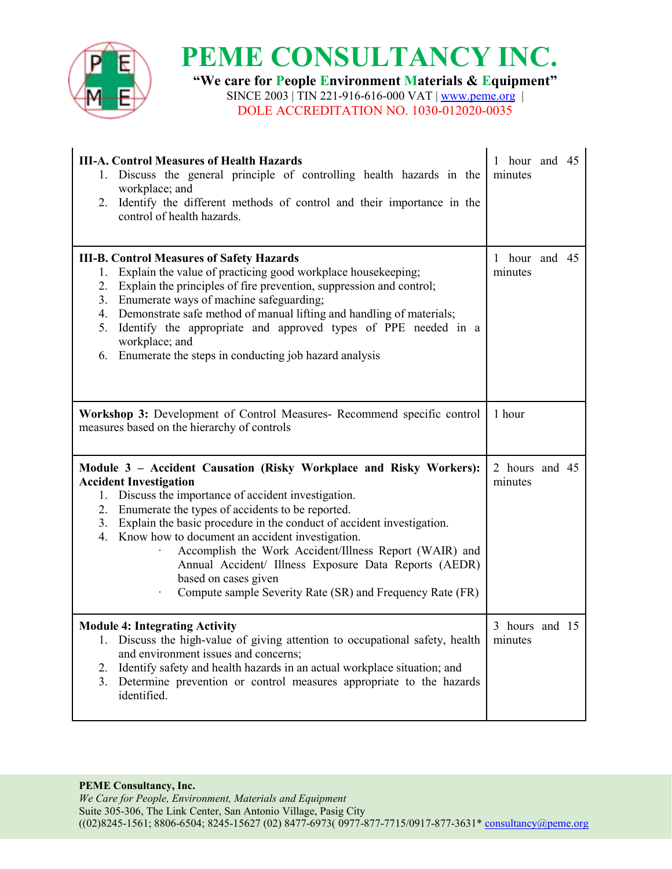

**"We care for People Environment Materials & Equipment"** SINCE 2003 | TIN 221-916-616-000 VAT | <u>[www.peme.org](http://www.peme.org)</u> |

DOLE ACCREDITATION NO. 1030-012020-0035

| <b>III-A. Control Measures of Health Hazards</b><br>1. Discuss the general principle of controlling health hazards in the<br>workplace; and<br>2. Identify the different methods of control and their importance in the<br>control of health hazards.                                                                                                                                                                                                                                                                                                        | 1 hour and 45<br>minutes  |  |
|--------------------------------------------------------------------------------------------------------------------------------------------------------------------------------------------------------------------------------------------------------------------------------------------------------------------------------------------------------------------------------------------------------------------------------------------------------------------------------------------------------------------------------------------------------------|---------------------------|--|
| <b>III-B. Control Measures of Safety Hazards</b><br>Explain the value of practicing good workplace housekeeping;<br>1.<br>2. Explain the principles of fire prevention, suppression and control;<br>3. Enumerate ways of machine safeguarding;<br>4. Demonstrate safe method of manual lifting and handling of materials;<br>5. Identify the appropriate and approved types of PPE needed in a<br>workplace; and<br>Enumerate the steps in conducting job hazard analysis<br>6.                                                                              | 1 hour and 45<br>minutes  |  |
| Workshop 3: Development of Control Measures- Recommend specific control<br>measures based on the hierarchy of controls                                                                                                                                                                                                                                                                                                                                                                                                                                       | 1 hour                    |  |
| Module 3 - Accident Causation (Risky Workplace and Risky Workers):<br><b>Accident Investigation</b><br>1. Discuss the importance of accident investigation.<br>2. Enumerate the types of accidents to be reported.<br>3. Explain the basic procedure in the conduct of accident investigation.<br>4. Know how to document an accident investigation.<br>Accomplish the Work Accident/Illness Report (WAIR) and<br>Annual Accident/ Illness Exposure Data Reports (AEDR)<br>based on cases given<br>Compute sample Severity Rate (SR) and Frequency Rate (FR) | 2 hours and 45<br>minutes |  |
| <b>Module 4: Integrating Activity</b>                                                                                                                                                                                                                                                                                                                                                                                                                                                                                                                        |                           |  |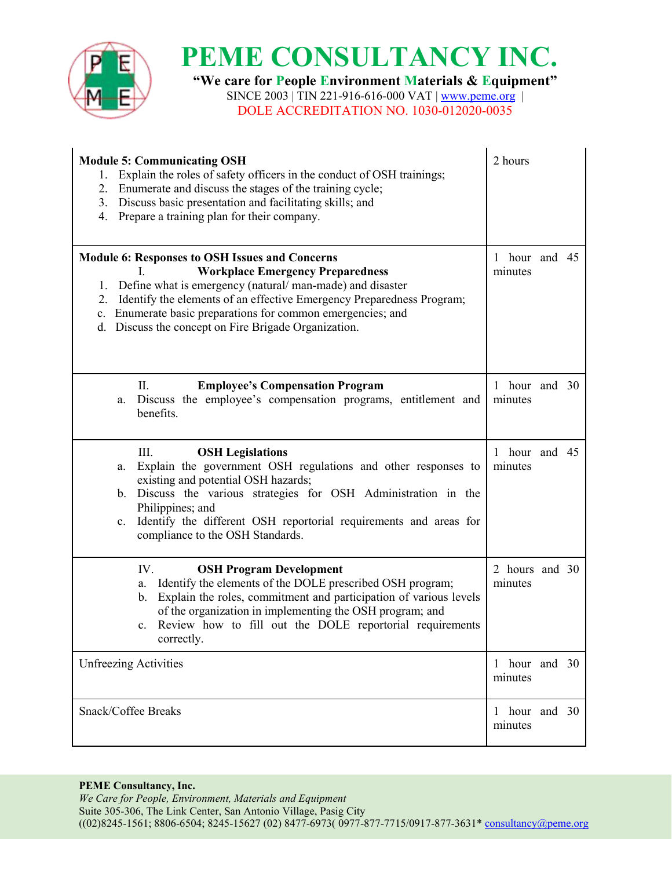

**"We care for People Environment Materials & Equipment"** SINCE 2003 | TIN 221-916-616-000 VAT | <u>[www.peme.org](http://www.peme.org)</u> | DOLE ACCREDITATION NO. 1030-012020-0035

| <b>Module 5: Communicating OSH</b><br>1. Explain the roles of safety officers in the conduct of OSH trainings;<br>2. Enumerate and discuss the stages of the training cycle;<br>3. Discuss basic presentation and facilitating skills; and<br>4. Prepare a training plan for their company.                                                                       | 2 hours                   |  |
|-------------------------------------------------------------------------------------------------------------------------------------------------------------------------------------------------------------------------------------------------------------------------------------------------------------------------------------------------------------------|---------------------------|--|
| Module 6: Responses to OSH Issues and Concerns<br><b>Workplace Emergency Preparedness</b><br>1. Define what is emergency (natural/man-made) and disaster<br>Identify the elements of an effective Emergency Preparedness Program;<br>2.<br>Enumerate basic preparations for common emergencies; and<br>c.<br>d. Discuss the concept on Fire Brigade Organization. | 1 hour and 45<br>minutes  |  |
| Π.<br><b>Employee's Compensation Program</b><br>Discuss the employee's compensation programs, entitlement and<br>a.<br>benefits.                                                                                                                                                                                                                                  | 1 hour and 30<br>minutes  |  |
| III.<br><b>OSH</b> Legislations<br>Explain the government OSH regulations and other responses to<br>a.<br>existing and potential OSH hazards;<br>b. Discuss the various strategies for OSH Administration in the<br>Philippines; and<br>Identify the different OSH reportorial requirements and areas for<br>$c_{\cdot}$<br>compliance to the OSH Standards.      | 1 hour and 45<br>minutes  |  |
| IV.<br><b>OSH Program Development</b><br>Identify the elements of the DOLE prescribed OSH program;<br>a.<br>Explain the roles, commitment and participation of various levels<br>b.<br>of the organization in implementing the OSH program; and<br>c. Review how to fill out the DOLE reportorial requirements<br>correctly.                                      | 2 hours and 30<br>minutes |  |
| <b>Unfreezing Activities</b>                                                                                                                                                                                                                                                                                                                                      | 1 hour and 30<br>minutes  |  |
| Snack/Coffee Breaks                                                                                                                                                                                                                                                                                                                                               | 1 hour and 30<br>minutes  |  |

#### **PEME Consultancy, Inc.**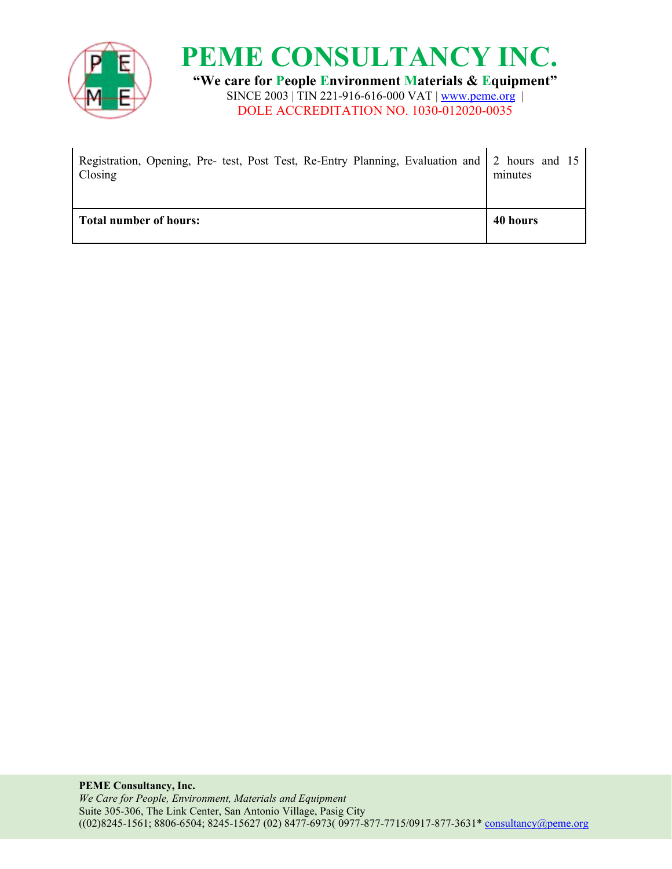



DOLE ACCREDITATION NO. 1030-012020-0035

| Registration, Opening, Pre- test, Post Test, Re-Entry Planning, Evaluation and 2 hours and 15<br>Closing | minutes  |
|----------------------------------------------------------------------------------------------------------|----------|
| <b>Total number of hours:</b>                                                                            | 40 hours |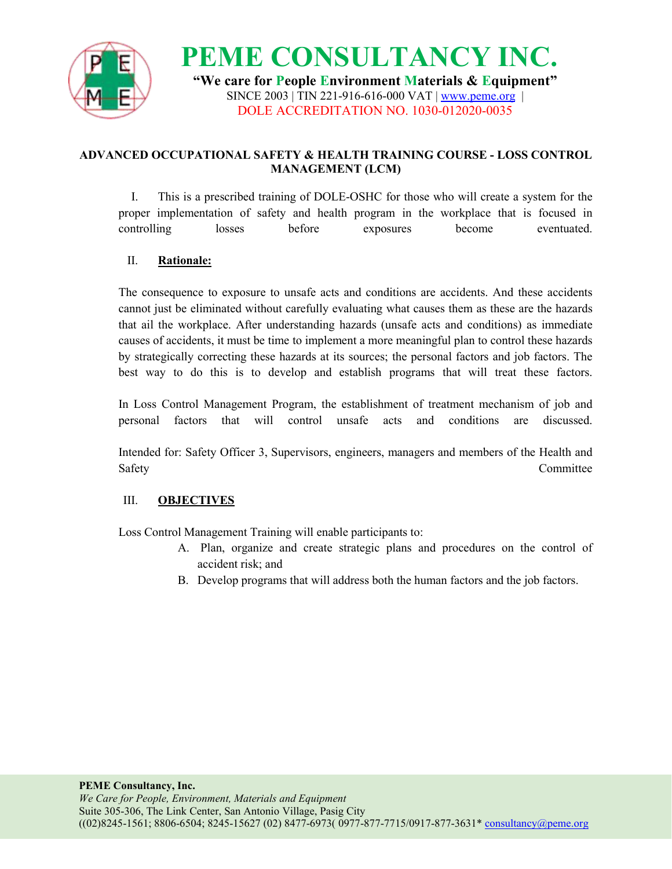

**PEME CONSULTANCY INC. "We care for People Environment Materials & Equipment"** SINCE 2003 | TIN 221-916-616-000 VAT | [www.peme.org](http://www.peme.org) | DOLE ACCREDITATION NO. 1030-012020-0035

### **ADVANCED OCCUPATIONAL SAFETY & HEALTH TRAINING COURSE - LOSS CONTROL MANAGEMENT (LCM)**

I. This is a prescribed training of DOLE-OSHC for those who will create a system for the proper implementation of safety and health program in the workplace that is focused in controlling losses before exposures become eventuated.

### II. **Rationale:**

The consequence to exposure to unsafe acts and conditions are accidents. And these accidents cannot just be eliminated without carefully evaluating what causes them as these are the hazards that ail the workplace. After understanding hazards (unsafe acts and conditions) as immediate causes of accidents, it must be time to implement a more meaningful plan to control these hazards by strategically correcting these hazards at its sources; the personal factors and job factors. The best way to do this is to develop and establish programs that will treat these factors.

In Loss Control Management Program, the establishment of treatment mechanism of job and personal factors that will control unsafe acts and conditions are discussed.

Intended for: Safety Officer3, Supervisors, engineers, managers and members of the Health and Safety **Committee** 

### III. **OBJECTIVES**

Loss Control Management Training will enable participants to:

- A. Plan, organize and create strategic plans and procedures on the control of accident risk; and
- B. Develop programs that will address both the human factors and the job factors.